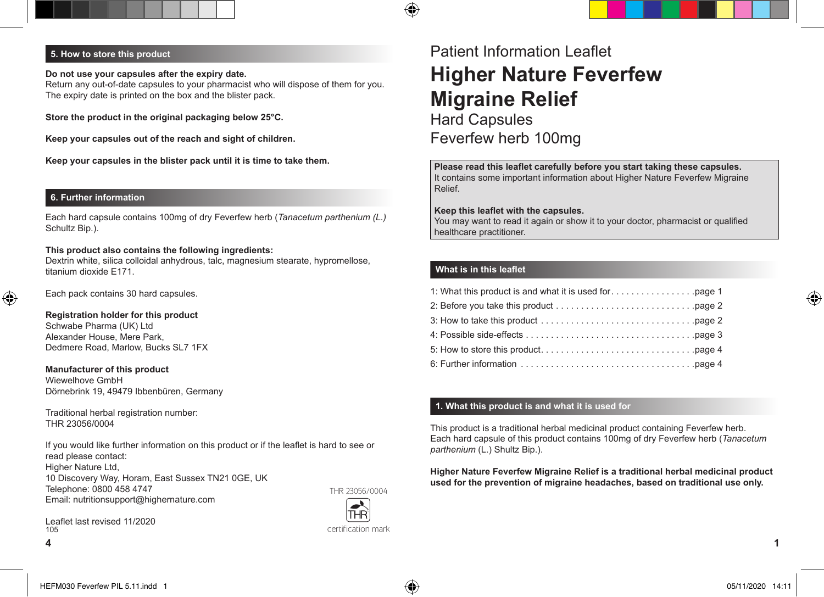# **5. How to store this product**

**Do not use your capsules after the expiry date.** Return any out-of-date capsules to your pharmacist who will dispose of them for you. The expiry date is printed on the box and the blister pack.

**Store the product in the original packaging below 25°C.**

**Keep your capsules out of the reach and sight of children.**

**Keep your capsules in the blister pack until it is time to take them.**

#### **6. Further information**

◈

Each hard capsule contains 100mg of dry Feverfew herb (*Tanacetum parthenium (L.)* Schultz Bip.).

#### **This product also contains the following ingredients:**

Dextrin white, silica colloidal anhydrous, talc, magnesium stearate, hypromellose, titanium dioxide E171.

Each pack contains 30 hard capsules.

#### **Registration holder for this product** Schwabe Pharma (UK) Ltd

Alexander House, Mere Park, Dedmere Road, Marlow, Bucks SL7 1FX

**Manufacturer of this product** Wiewelhove GmbH Dörnebrink 19, 49479 Ibbenbüren, Germany

Traditional herbal registration number: THR 23056/0004

If you would like further information on this product or if the leaflet is hard to see or read please contact: Higher Nature Ltd, 10 Discovery Way, Horam, East Sussex TN21 0GE, UK Telephone: 0800 458 4747 Email: nutritionsupport@highernature.com THR 23056/0004

certification mark

Leaflet last revised 11/2020 **4 1** 105

# Patient Information Leaflet **Higher Nature Feverfew Migraine Relief** Hard Capsules Feverfew herb 100mg

**Please read this leaflet carefully before you start taking these capsules.** It contains some important information about Higher Nature Feverfew Migraine Relief.

#### **Keep this leaflet with the capsules.**

You may want to read it again or show it to your doctor, pharmacist or qualified healthcare practitioner.

## **What is in this leaflet**

企

## **1. What this product is and what it is used for**

This product is a traditional herbal medicinal product containing Feverfew herb. Each hard capsule of this product contains 100mg of dry Feverfew herb (*Tanacetum parthenium* (L.) Shultz Bip.).

#### **Higher Nature Feverfew Migraine Relief is a traditional herbal medicinal product used for the prevention of migraine headaches, based on traditional use only.**

◈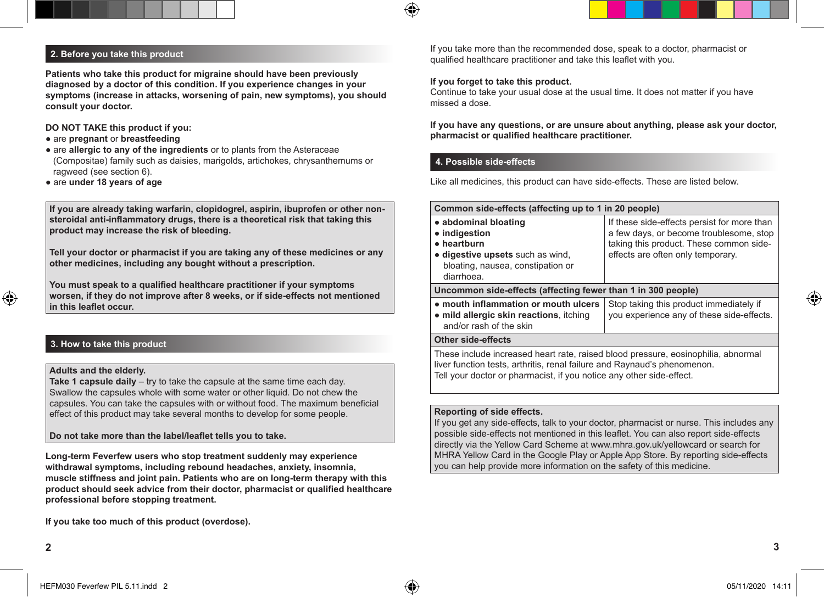

# **2. Before you take this product**

**Patients who take this product for migraine should have been previously diagnosed by a doctor of this condition. If you experience changes in your symptoms (increase in attacks, worsening of pain, new symptoms), you should consult your doctor.**

## **DO NOT TAKE this product if you:**

- are **pregnant** or **breastfeeding**
- are **allergic to any of the ingredients** or to plants from the Asteraceae (Compositae) family such as daisies, marigolds, artichokes, chrysanthemums or ragweed (see section 6).
- are **under 18 years of age**

**If you are already taking warfarin, clopidogrel, aspirin, ibuprofen or other nonsteroidal anti-inflammatory drugs, there is a theoretical risk that taking this product may increase the risk of bleeding.**

**Tell your doctor or pharmacist if you are taking any of these medicines or any other medicines, including any bought without a prescription.**

**You must speak to a qualified healthcare practitioner if your symptoms worsen, if they do not improve after 8 weeks, or if side-effects not mentioned in this leaflet occur.**

# **3. How to take this product**

# **Adults and the elderly.**

**Take 1 capsule daily** – try to take the capsule at the same time each day. Swallow the capsules whole with some water or other liquid. Do not chew the capsules. You can take the capsules with or without food. The maximum beneficial effect of this product may take several months to develop for some people.

**Do not take more than the label/leaflet tells you to take.**

**Long-term Feverfew users who stop treatment suddenly may experience withdrawal symptoms, including rebound headaches, anxiety, insomnia, muscle stiffness and joint pain. Patients who are on long-term therapy with this product should seek advice from their doctor, pharmacist or qualified healthcare professional before stopping treatment.**

**If you take too much of this product (overdose).**

If you take more than the recommended dose, speak to a doctor, pharmacist or qualified healthcare practitioner and take this leaflet with you.

## **If you forget to take this product.**

♠

Continue to take your usual dose at the usual time. It does not matter if you have missed a dose.

**If you have any questions, or are unsure about anything, please ask your doctor, pharmacist or qualified healthcare practitioner.**

## **4. Possible side-effects**

Like all medicines, this product can have side-effects. These are listed below.

| Common side-effects (affecting up to 1 in 20 people)                                                                                                          |                                                                                                                                                                        |  |
|---------------------------------------------------------------------------------------------------------------------------------------------------------------|------------------------------------------------------------------------------------------------------------------------------------------------------------------------|--|
| • abdominal bloating<br>• indigestion<br>• heartburn<br>• digestive upsets such as wind,<br>bloating, nausea, constipation or<br>diarrhoea.                   | If these side-effects persist for more than<br>a few days, or become troublesome, stop<br>taking this product. These common side-<br>effects are often only temporary. |  |
| Uncommon side-effects (affecting fewer than 1 in 300 people)                                                                                                  |                                                                                                                                                                        |  |
| • mouth inflammation or mouth ulcers<br>• mild allergic skin reactions, itching<br>and/or rash of the skin                                                    | Stop taking this product immediately if<br>you experience any of these side-effects.                                                                                   |  |
| Other side-effects                                                                                                                                            |                                                                                                                                                                        |  |
| These include increased heart rate, raised blood pressure, eosinophilia, abnormal<br>liver function tests, arthritis, renal failure and Raynaud's phenomenon. |                                                                                                                                                                        |  |

Tell your doctor or pharmacist, if you notice any other side-effect.

## **Reporting of side effects.**

If you get any side-effects, talk to your doctor, pharmacist or nurse. This includes any possible side-effects not mentioned in this leaflet. You can also report side-effects directly via the Yellow Card Scheme at www.mhra.gov.uk/yellowcard or search for MHRA Yellow Card in the Google Play or Apple App Store. By reporting side-effects you can help provide more information on the safety of this medicine.

◈

⊕